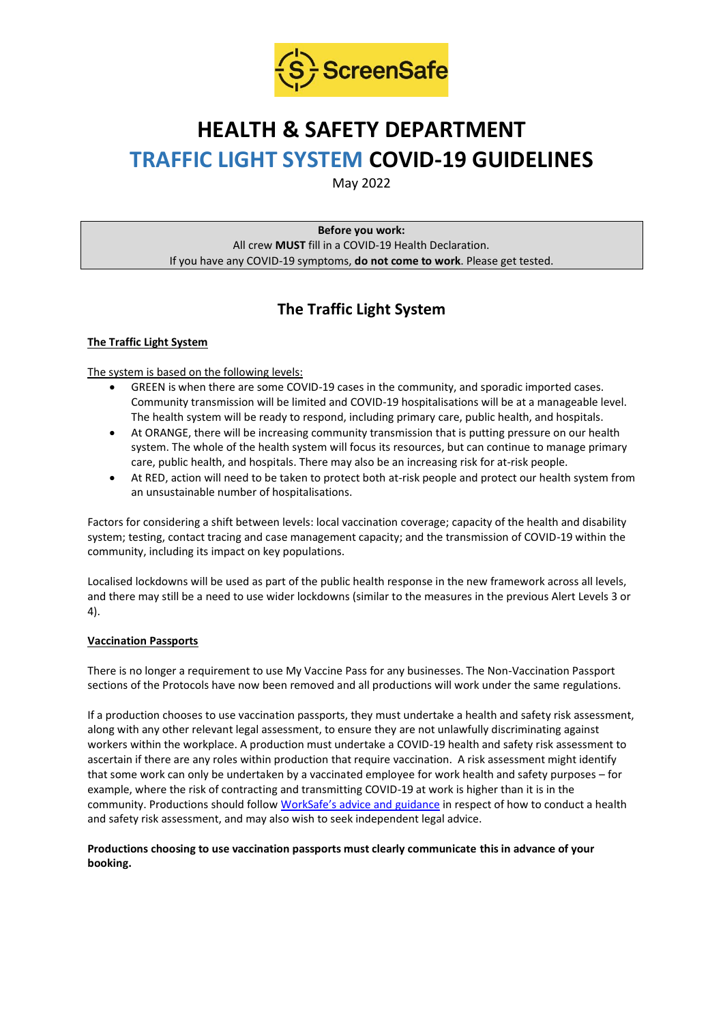

# **HEALTH & SAFETY DEPARTMENT TRAFFIC LIGHT SYSTEM COVID-19 GUIDELINES**

May 2022

**Before you work:** All crew **MUST** fill in a COVID-19 Health Declaration. If you have any COVID-19 symptoms, **do not come to work**. Please get tested.

# **The Traffic Light System**

# **The Traffic Light System**

The system is based on the following levels:

- GREEN is when there are some COVID-19 cases in the community, and sporadic imported cases. Community transmission will be limited and COVID-19 hospitalisations will be at a manageable level. The health system will be ready to respond, including primary care, public health, and hospitals.
- At ORANGE, there will be increasing community transmission that is putting pressure on our health system. The whole of the health system will focus its resources, but can continue to manage primary care, public health, and hospitals. There may also be an increasing risk for at-risk people.
- At RED, action will need to be taken to protect both at-risk people and protect our health system from an unsustainable number of hospitalisations.

Factors for considering a shift between levels: local vaccination coverage; capacity of the health and disability system; testing, contact tracing and case management capacity; and the transmission of COVID-19 within the community, including its impact on key populations.

Localised lockdowns will be used as part of the public health response in the new framework across all levels, and there may still be a need to use wider lockdowns (similar to the measures in the previous Alert Levels 3 or 4).

# **Vaccination Passports**

There is no longer a requirement to use My Vaccine Pass for any businesses. The Non-Vaccination Passport sections of the Protocols have now been removed and all productions will work under the same regulations.

If a production chooses to use vaccination passports, they must undertake a health and safety risk assessment, along with any other relevant legal assessment, to ensure they are not unlawfully discriminating against workers within the workplace. A production must undertake a COVID-19 health and safety risk assessment to ascertain if there are any roles within production that require vaccination. A risk assessment might identify that some work can only be undertaken by a vaccinated employee for work health and safety purposes – for example, where the risk of contracting and transmitting COVID-19 at work is higher than it is in the community. Productions should follow [WorkSafe's advice and guidance](https://www.worksafe.govt.nz/managing-health-and-safety/novel-coronavirus-covid/covid-19-controls-at-work/) in respect of how to conduct a health and safety risk assessment, and may also wish to seek independent legal advice.

### **Productions choosing to use vaccination passports must clearly communicate this in advance of your booking.**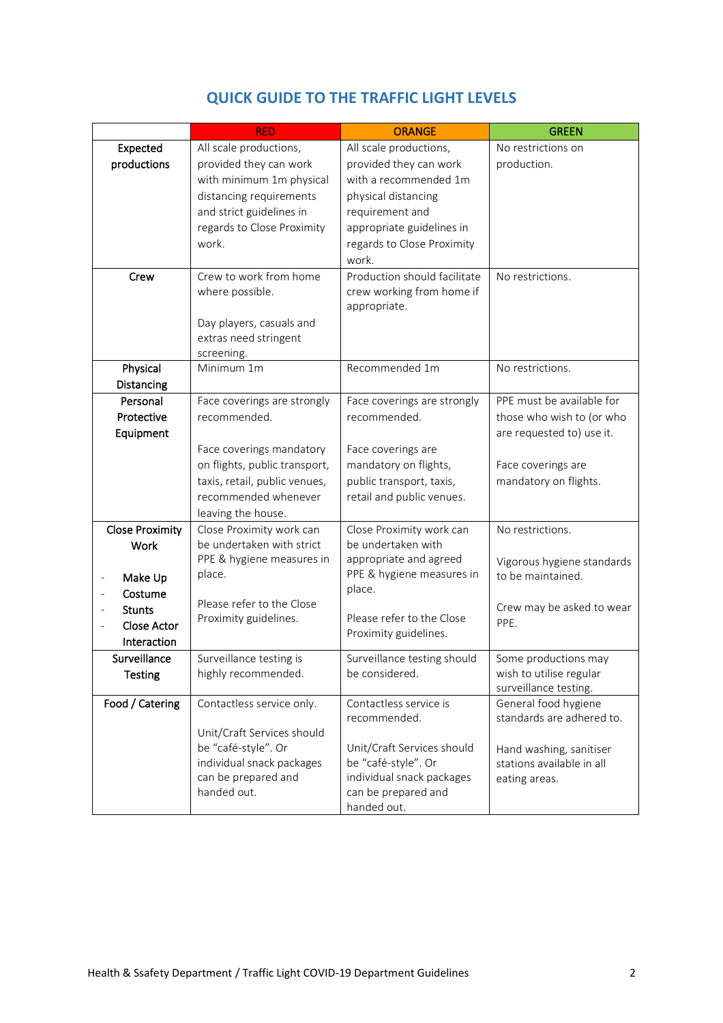|                                         | <b>RED</b>                                       | <b>ORANGE</b>                                    | <b>GREEN</b>               |
|-----------------------------------------|--------------------------------------------------|--------------------------------------------------|----------------------------|
| Expected                                | All scale productions,                           | All scale productions,                           | No restrictions on         |
| productions                             | provided they can work                           | provided they can work                           | production.                |
|                                         | with minimum 1m physical                         | with a recommended 1m                            |                            |
|                                         | distancing requirements                          | physical distancing                              |                            |
|                                         | and strict guidelines in                         | requirement and                                  |                            |
|                                         | regards to Close Proximity                       | appropriate guidelines in                        |                            |
|                                         | work.                                            | regards to Close Proximity                       |                            |
|                                         |                                                  | work.                                            |                            |
| Crew                                    | Crew to work from home                           | Production should facilitate                     | No restrictions.           |
|                                         | where possible.                                  | crew working from home if                        |                            |
|                                         |                                                  | appropriate.                                     |                            |
|                                         | Day players, casuals and                         |                                                  |                            |
|                                         | extras need stringent                            |                                                  |                            |
| Physical                                | screening.<br>Minimum 1m                         | Recommended 1m                                   | No restrictions.           |
| Distancing                              |                                                  |                                                  |                            |
| Personal                                | Face coverings are strongly                      | Face coverings are strongly                      | PPE must be available for  |
| Protective                              | recommended.                                     | recommended.                                     | those who wish to (or who  |
| Equipment                               |                                                  |                                                  | are requested to) use it.  |
|                                         | Face coverings mandatory                         | Face coverings are                               |                            |
|                                         | on flights, public transport,                    | mandatory on flights,                            | Face coverings are         |
|                                         | taxis, retail, public venues,                    | public transport, taxis,                         | mandatory on flights.      |
|                                         | recommended whenever                             | retail and public venues.                        |                            |
|                                         | leaving the house.                               |                                                  |                            |
| <b>Close Proximity</b>                  | Close Proximity work can                         | Close Proximity work can                         | No restrictions.           |
| <b>Work</b>                             | be undertaken with strict                        | be undertaken with                               |                            |
|                                         | PPE & hygiene measures in                        | appropriate and agreed                           | Vigorous hygiene standards |
| Make Up<br>$\qquad \qquad \blacksquare$ | place.                                           | PPE & hygiene measures in                        | to be maintained.          |
| Costume                                 |                                                  | place.                                           |                            |
| <b>Stunts</b>                           | Please refer to the Close                        |                                                  | Crew may be asked to wear  |
| <b>Close Actor</b>                      | Proximity guidelines.                            | Please refer to the Close                        | PPE.                       |
| Interaction                             |                                                  | Proximity guidelines.                            |                            |
| Surveillance                            | Surveillance testing is                          | Surveillance testing should                      | Some productions may       |
| <b>Testing</b>                          | highly recommended.                              | be considered.                                   | wish to utilise regular    |
|                                         |                                                  |                                                  | surveillance testing.      |
| Food / Catering                         | Contactless service only.                        | Contactless service is                           | General food hygiene       |
|                                         |                                                  | recommended.                                     | standards are adhered to.  |
|                                         | Unit/Craft Services should                       |                                                  |                            |
|                                         | be "café-style". Or                              | Unit/Craft Services should                       | Hand washing, sanitiser    |
|                                         | individual snack packages<br>can be prepared and | be "café-style". Or<br>individual snack packages | stations available in all  |
|                                         | handed out.                                      | can be prepared and                              | eating areas.              |
|                                         |                                                  | handed out.                                      |                            |

# **QUICK GUIDE TO THE TRAFFIC LIGHT LEVELS**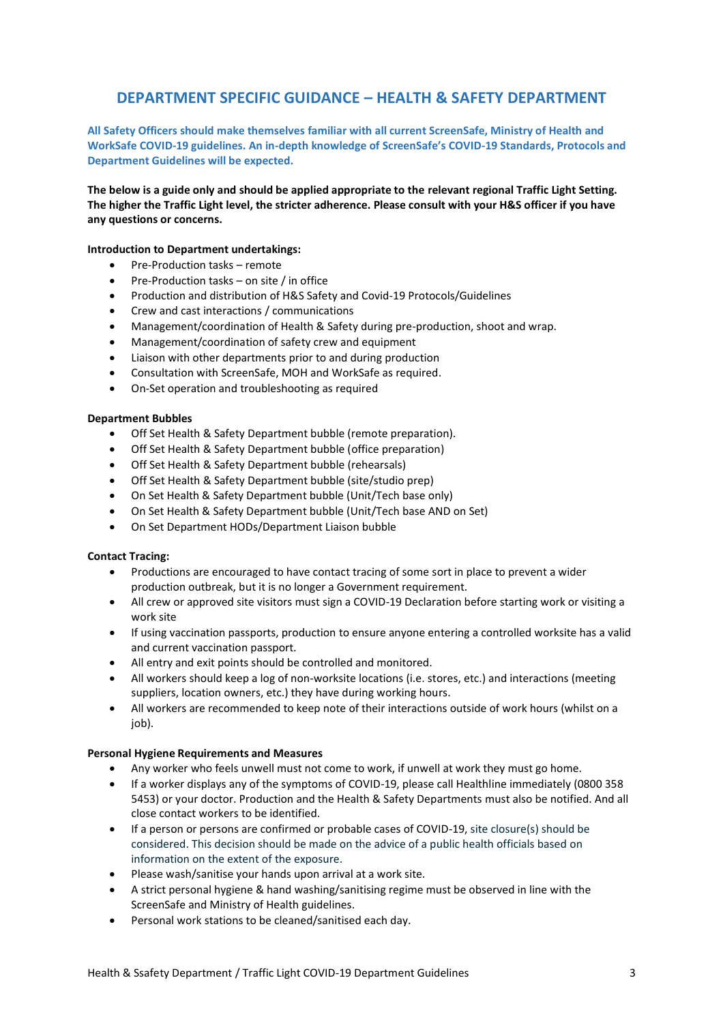# **DEPARTMENT SPECIFIC GUIDANCE – HEALTH & SAFETY DEPARTMENT**

**All Safety Officers should make themselves familiar with all current ScreenSafe, Ministry of Health and WorkSafe COVID-19 guidelines. An in-depth knowledge of ScreenSafe's COVID-19 Standards, Protocols and Department Guidelines will be expected.**

**The below is a guide only and should be applied appropriate to the relevant regional Traffic Light Setting. The higher the Traffic Light level, the stricter adherence. Please consult with your H&S officer if you have any questions or concerns.**

#### **Introduction to Department undertakings:**

- Pre-Production tasks remote
- Pre-Production tasks on site / in office
- Production and distribution of H&S Safety and Covid-19 Protocols/Guidelines
- Crew and cast interactions / communications
- Management/coordination of Health & Safety during pre-production, shoot and wrap.
- Management/coordination of safety crew and equipment
- Liaison with other departments prior to and during production
- Consultation with ScreenSafe, MOH and WorkSafe as required.
- On-Set operation and troubleshooting as required

#### **Department Bubbles**

- Off Set Health & Safety Department bubble (remote preparation).
- Off Set Health & Safety Department bubble (office preparation)
- Off Set Health & Safety Department bubble (rehearsals)
- Off Set Health & Safety Department bubble (site/studio prep)
- On Set Health & Safety Department bubble (Unit/Tech base only)
- On Set Health & Safety Department bubble (Unit/Tech base AND on Set)
- On Set Department HODs/Department Liaison bubble

#### **Contact Tracing:**

- Productions are encouraged to have contact tracing of some sort in place to prevent a wider production outbreak, but it is no longer a Government requirement.
- All crew or approved site visitors must sign a COVID-19 Declaration before starting work or visiting a work site
- If using vaccination passports, production to ensure anyone entering a controlled worksite has a valid and current vaccination passport.
- All entry and exit points should be controlled and monitored.
- All workers should keep a log of non-worksite locations (i.e. stores, etc.) and interactions (meeting suppliers, location owners, etc.) they have during working hours.
- All workers are recommended to keep note of their interactions outside of work hours (whilst on a iob).

#### **Personal Hygiene Requirements and Measures**

- Any worker who feels unwell must not come to work, if unwell at work they must go home.
- If a worker displays any of the symptoms of COVID-19, please call Healthline immediately (0800 358 5453) or your doctor. Production and the Health & Safety Departments must also be notified. And all close contact workers to be identified.
- If a person or persons are confirmed or probable cases of COVID-19, site closure(s) should be considered. This decision should be made on the advice of a public health officials based on information on the extent of the exposure.
- Please wash/sanitise your hands upon arrival at a work site.
- A strict personal hygiene & hand washing/sanitising regime must be observed in line with the ScreenSafe and Ministry of Health guidelines.
- Personal work stations to be cleaned/sanitised each day.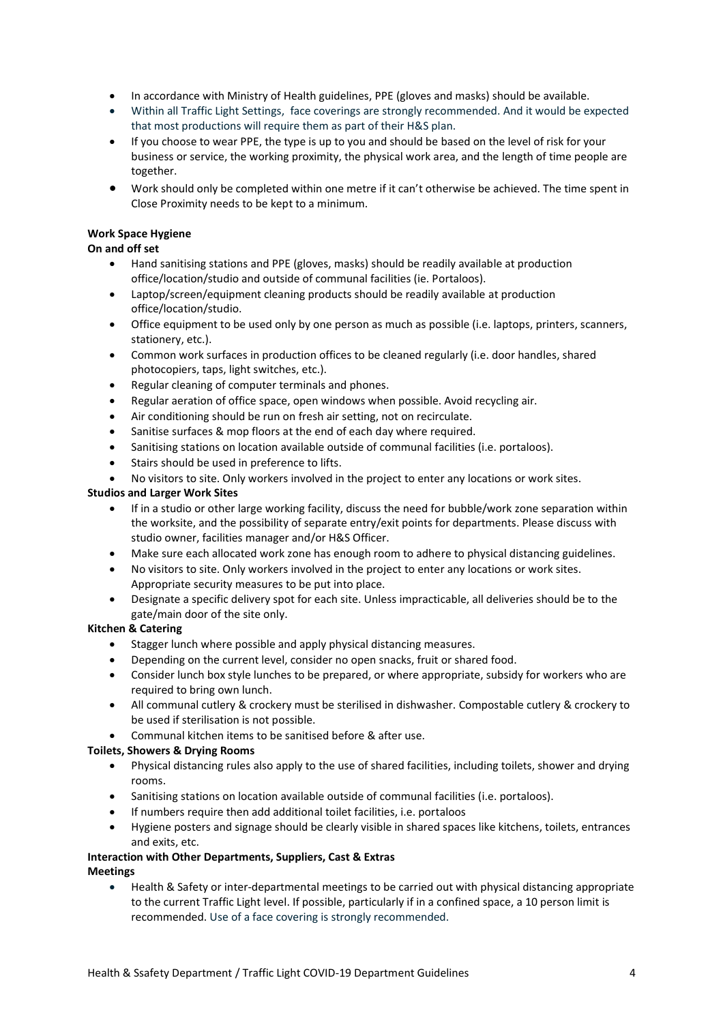- In accordance with Ministry of Health guidelines, PPE (gloves and masks) should be available.
- Within all Traffic Light Settings, face coverings are strongly recommended. And it would be expected that most productions will require them as part of their H&S plan.
- If you choose to wear PPE, the type is up to you and should be based on the level of risk for your business or service, the working proximity, the physical work area, and the length of time people are together.
- Work should only be completed within one metre if it can't otherwise be achieved. The time spent in Close Proximity needs to be kept to a minimum.

# **Work Space Hygiene**

### **On and off set**

- Hand sanitising stations and PPE (gloves, masks) should be readily available at production office/location/studio and outside of communal facilities (ie. Portaloos).
- Laptop/screen/equipment cleaning products should be readily available at production office/location/studio.
- Office equipment to be used only by one person as much as possible (i.e. laptops, printers, scanners, stationery, etc.).
- Common work surfaces in production offices to be cleaned regularly (i.e. door handles, shared photocopiers, taps, light switches, etc.).
- Regular cleaning of computer terminals and phones.
- Regular aeration of office space, open windows when possible. Avoid recycling air.
- Air conditioning should be run on fresh air setting, not on recirculate.
- Sanitise surfaces & mop floors at the end of each day where required.
- Sanitising stations on location available outside of communal facilities (i.e. portaloos).
- Stairs should be used in preference to lifts.
- No visitors to site. Only workers involved in the project to enter any locations or work sites.

#### **Studios and Larger Work Sites**

- If in a studio or other large working facility, discuss the need for bubble/work zone separation within the worksite, and the possibility of separate entry/exit points for departments. Please discuss with studio owner, facilities manager and/or H&S Officer.
- Make sure each allocated work zone has enough room to adhere to physical distancing guidelines.
- No visitors to site. Only workers involved in the project to enter any locations or work sites. Appropriate security measures to be put into place.
- Designate a specific delivery spot for each site. Unless impracticable, all deliveries should be to the gate/main door of the site only.

#### **Kitchen & Catering**

- Stagger lunch where possible and apply physical distancing measures.
- Depending on the current level, consider no open snacks, fruit or shared food.
- Consider lunch box style lunches to be prepared, or where appropriate, subsidy for workers who are required to bring own lunch.
- All communal cutlery & crockery must be sterilised in dishwasher. Compostable cutlery & crockery to be used if sterilisation is not possible.
- Communal kitchen items to be sanitised before & after use.

#### **Toilets, Showers & Drying Rooms**

- Physical distancing rules also apply to the use of shared facilities, including toilets, shower and drying rooms.
- Sanitising stations on location available outside of communal facilities (i.e. portaloos).
- If numbers require then add additional toilet facilities, i.e. portaloos
- Hygiene posters and signage should be clearly visible in shared spaces like kitchens, toilets, entrances and exits, etc.

# **Interaction with Other Departments, Suppliers, Cast & Extras**

**Meetings**

• Health & Safety or inter-departmental meetings to be carried out with physical distancing appropriate to the current Traffic Light level. If possible, particularly if in a confined space, a 10 person limit is recommended. Use of a face covering is strongly recommended.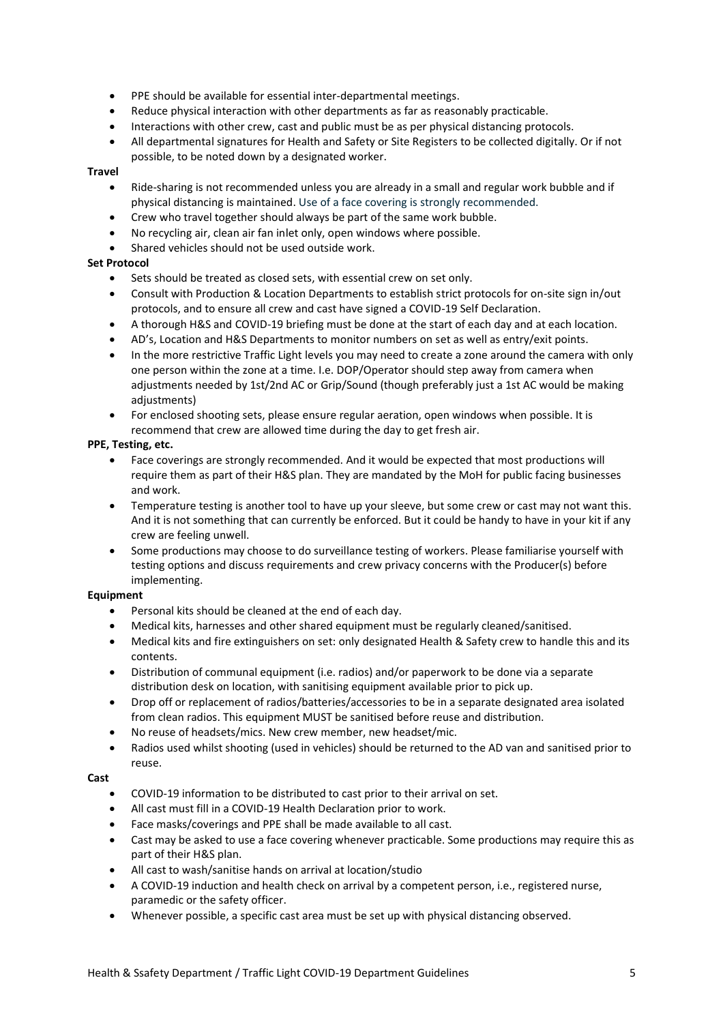- PPE should be available for essential inter-departmental meetings.
- Reduce physical interaction with other departments as far as reasonably practicable.
- Interactions with other crew, cast and public must be as per physical distancing protocols.
- All departmental signatures for Health and Safety or Site Registers to be collected digitally. Or if not possible, to be noted down by a designated worker.

#### **Travel**

- Ride-sharing is not recommended unless you are already in a small and regular work bubble and if physical distancing is maintained. Use of a face covering is strongly recommended.
- Crew who travel together should always be part of the same work bubble.
- No recycling air, clean air fan inlet only, open windows where possible.
- Shared vehicles should not be used outside work.

## **Set Protocol**

- Sets should be treated as closed sets, with essential crew on set only.
- Consult with Production & Location Departments to establish strict protocols for on-site sign in/out protocols, and to ensure all crew and cast have signed a COVID-19 Self Declaration.
- A thorough H&S and COVID-19 briefing must be done at the start of each day and at each location.
- AD's, Location and H&S Departments to monitor numbers on set as well as entry/exit points.
- In the more restrictive Traffic Light levels you may need to create a zone around the camera with only one person within the zone at a time. I.e. DOP/Operator should step away from camera when adjustments needed by 1st/2nd AC or Grip/Sound (though preferably just a 1st AC would be making adiustments)
- For enclosed shooting sets, please ensure regular aeration, open windows when possible. It is recommend that crew are allowed time during the day to get fresh air.

#### **PPE, Testing, etc.**

- Face coverings are strongly recommended. And it would be expected that most productions will require them as part of their H&S plan. They are mandated by the MoH for public facing businesses and work.
- Temperature testing is another tool to have up your sleeve, but some crew or cast may not want this. And it is not something that can currently be enforced. But it could be handy to have in your kit if any crew are feeling unwell.
- Some productions may choose to do surveillance testing of workers. Please familiarise yourself with testing options and discuss requirements and crew privacy concerns with the Producer(s) before implementing.

#### **Equipment**

- Personal kits should be cleaned at the end of each day.
- Medical kits, harnesses and other shared equipment must be regularly cleaned/sanitised.
- Medical kits and fire extinguishers on set: only designated Health & Safety crew to handle this and its contents.
- Distribution of communal equipment (i.e. radios) and/or paperwork to be done via a separate distribution desk on location, with sanitising equipment available prior to pick up.
- Drop off or replacement of radios/batteries/accessories to be in a separate designated area isolated from clean radios. This equipment MUST be sanitised before reuse and distribution.
- No reuse of headsets/mics. New crew member, new headset/mic.
- Radios used whilst shooting (used in vehicles) should be returned to the AD van and sanitised prior to reuse.

# **Cast**

- COVID-19 information to be distributed to cast prior to their arrival on set.
- All cast must fill in a COVID-19 Health Declaration prior to work.
- Face masks/coverings and PPE shall be made available to all cast.
- Cast may be asked to use a face covering whenever practicable. Some productions may require this as part of their H&S plan.
- All cast to wash/sanitise hands on arrival at location/studio
- A COVID-19 induction and health check on arrival by a competent person, i.e., registered nurse, paramedic or the safety officer.
- Whenever possible, a specific cast area must be set up with physical distancing observed.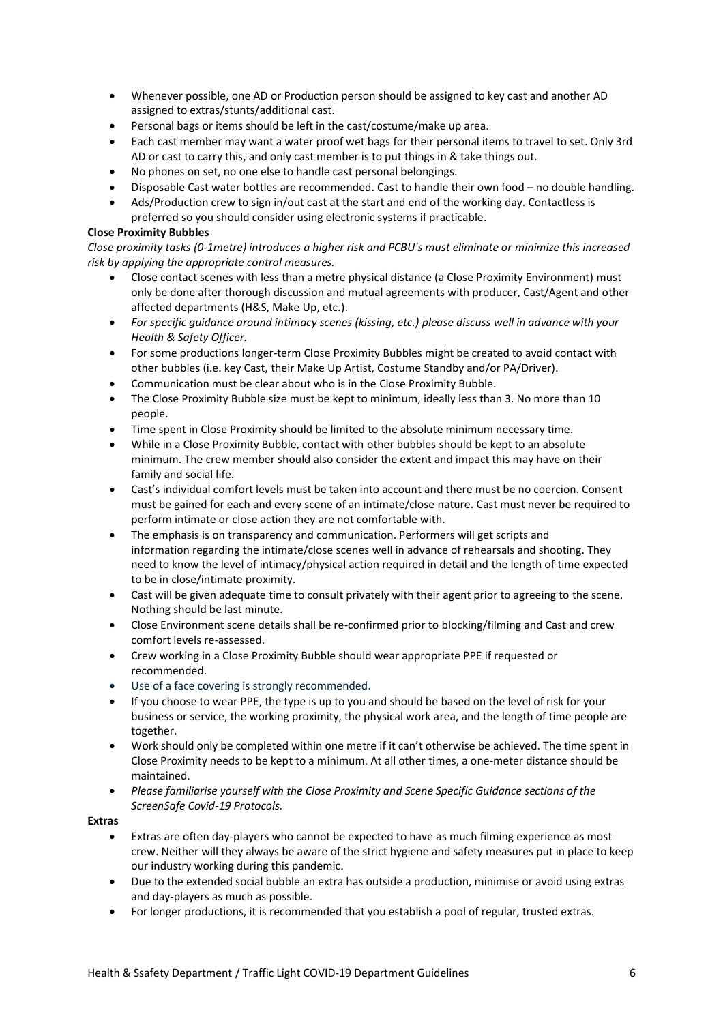- Whenever possible, one AD or Production person should be assigned to key cast and another AD assigned to extras/stunts/additional cast.
- Personal bags or items should be left in the cast/costume/make up area.
- Each cast member may want a water proof wet bags for their personal items to travel to set. Only 3rd AD or cast to carry this, and only cast member is to put things in & take things out.
- No phones on set, no one else to handle cast personal belongings.
- Disposable Cast water bottles are recommended. Cast to handle their own food no double handling.
- Ads/Production crew to sign in/out cast at the start and end of the working day. Contactless is preferred so you should consider using electronic systems if practicable.

## **Close Proximity Bubbles**

*Close proximity tasks (0-1metre) introduces a higher risk and PCBU's must eliminate or minimize this increased risk by applying the appropriate control measures.* 

- Close contact scenes with less than a metre physical distance (a Close Proximity Environment) must only be done after thorough discussion and mutual agreements with producer, Cast/Agent and other affected departments (H&S, Make Up, etc.).
- *For specific guidance around intimacy scenes (kissing, etc.) please discuss well in advance with your Health & Safety Officer.*
- For some productions longer-term Close Proximity Bubbles might be created to avoid contact with other bubbles (i.e. key Cast, their Make Up Artist, Costume Standby and/or PA/Driver).
- Communication must be clear about who is in the Close Proximity Bubble.
- The Close Proximity Bubble size must be kept to minimum, ideally less than 3. No more than 10 people.
- Time spent in Close Proximity should be limited to the absolute minimum necessary time.
- While in a Close Proximity Bubble, contact with other bubbles should be kept to an absolute minimum. The crew member should also consider the extent and impact this may have on their family and social life.
- Cast's individual comfort levels must be taken into account and there must be no coercion. Consent must be gained for each and every scene of an intimate/close nature. Cast must never be required to perform intimate or close action they are not comfortable with.
- The emphasis is on transparency and communication. Performers will get scripts and information regarding the intimate/close scenes well in advance of rehearsals and shooting. They need to know the level of intimacy/physical action required in detail and the length of time expected to be in close/intimate proximity.
- Cast will be given adequate time to consult privately with their agent prior to agreeing to the scene. Nothing should be last minute.
- Close Environment scene details shall be re-confirmed prior to blocking/filming and Cast and crew comfort levels re-assessed.
- Crew working in a Close Proximity Bubble should wear appropriate PPE if requested or recommended.
- Use of a face covering is strongly recommended.
- If you choose to wear PPE, the type is up to you and should be based on the level of risk for your business or service, the working proximity, the physical work area, and the length of time people are together.
- Work should only be completed within one metre if it can't otherwise be achieved. The time spent in Close Proximity needs to be kept to a minimum. At all other times, a one-meter distance should be maintained.
- *Please familiarise yourself with the Close Proximity and Scene Specific Guidance sections of the ScreenSafe Covid-19 Protocols.*

#### **Extras**

- Extras are often day-players who cannot be expected to have as much filming experience as most crew. Neither will they always be aware of the strict hygiene and safety measures put in place to keep our industry working during this pandemic.
- Due to the extended social bubble an extra has outside a production, minimise or avoid using extras and day-players as much as possible.
- For longer productions, it is recommended that you establish a pool of regular, trusted extras.